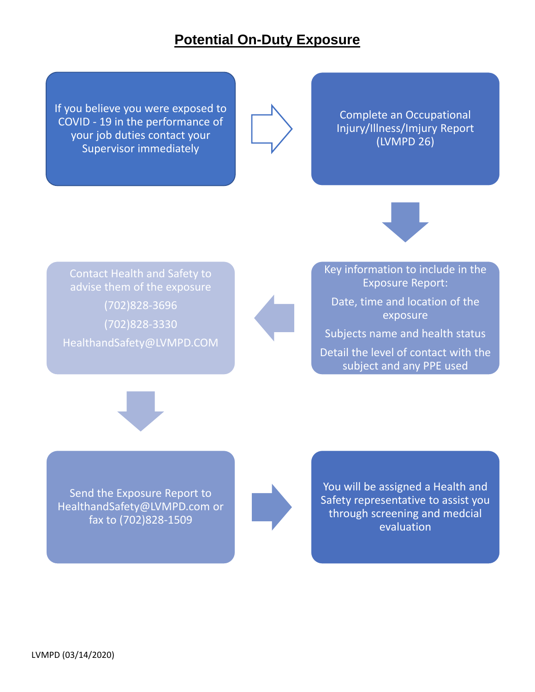## **Potential On-Duty Exposure**

If you believe you were exposed to COVID - 19 in the performance of your job duties contact your Supervisor immediately

Complete an Occupational Injury/Illness/Imjury Report (LVMPD 26)



Contact Health and Safety to advise them of the exposure (702)828-3696 (702)828-3330 HealthandSafety@LVMPD.COM

Key information to include in the Exposure Report: Date, time and location of the exposure Subjects name and health status Detail the level of contact with the subject and any PPE used



Send the Exposure Report to HealthandSafety@LVMPD.com or fax to (702)828-1509



You will be assigned a Health and Safety representative to assist you through screening and medcial evaluation